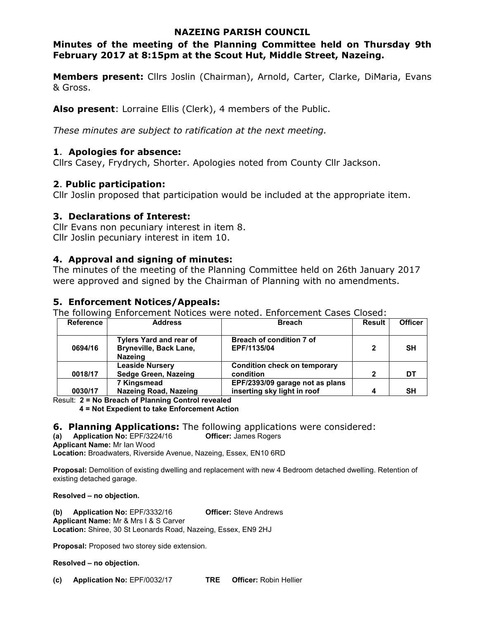#### **NAZEING PARISH COUNCIL**

# **Minutes of the meeting of the Planning Committee held on Thursday 9th February 2017 at 8:15pm at the Scout Hut, Middle Street, Nazeing.**

**Members present:** Cllrs Joslin (Chairman), Arnold, Carter, Clarke, DiMaria, Evans & Gross.

**Also present**: Lorraine Ellis (Clerk), 4 members of the Public.

*These minutes are subject to ratification at the next meeting.*

# **1**. **Apologies for absence:**

Cllrs Casey, Frydrych, Shorter. Apologies noted from County Cllr Jackson.

# **2**. **Public participation:**

Cllr Joslin proposed that participation would be included at the appropriate item.

# **3. Declarations of Interest:**

Cllr Evans non pecuniary interest in item 8. Cllr Joslin pecuniary interest in item 10.

#### **4. Approval and signing of minutes:**

The minutes of the meeting of the Planning Committee held on 26th January 2017 were approved and signed by the Chairman of Planning with no amendments.

# **5. Enforcement Notices/Appeals:**

The following Enforcement Notices were noted. Enforcement Cases Closed:

| <b>Reference</b> | <b>Address</b>                                  | <b>Breach</b>                       | Result       | <b>Officer</b> |
|------------------|-------------------------------------------------|-------------------------------------|--------------|----------------|
|                  | <b>Tylers Yard and rear of</b>                  | <b>Breach of condition 7 of</b>     |              |                |
| 0694/16          | <b>Bryneville, Back Lane,</b><br><b>Nazeing</b> | EPF/1135/04                         | $\mathbf{2}$ | SН             |
|                  | <b>Leaside Nursery</b>                          | <b>Condition check on temporary</b> |              |                |
| 0018/17          | Sedge Green, Nazeing                            | condition                           | $\mathbf{2}$ | DT             |
|                  | 7 Kingsmead                                     | EPF/2393/09 garage not as plans     |              |                |
| 0030/17          | <b>Nazeing Road, Nazeing</b>                    | inserting sky light in roof         | 4            | SΗ             |

Result: **2 = No Breach of Planning Control revealed** 

**4 = Not Expedient to take Enforcement Action** 

#### **6. Planning Applications:** The following applications were considered:

**(a) Application No:** EPF/3224/16 **Officer:** James Rogers

**Applicant Name:** Mr Ian Wood

**Location:** Broadwaters, Riverside Avenue, Nazeing, Essex, EN10 6RD

**Proposal:** Demolition of existing dwelling and replacement with new 4 Bedroom detached dwelling. Retention of existing detached garage.

**Resolved – no objection.** 

**(b) Application No:** EPF/3332/16 **Officer:** Steve Andrews **Applicant Name:** Mr & Mrs I & S Carver **Location:** Shiree, 30 St Leonards Road, Nazeing, Essex, EN9 2HJ

**Proposal:** Proposed two storey side extension.

**Resolved – no objection.**

**(c) Application No:** EPF/0032/17 **TRE Officer:** Robin Hellier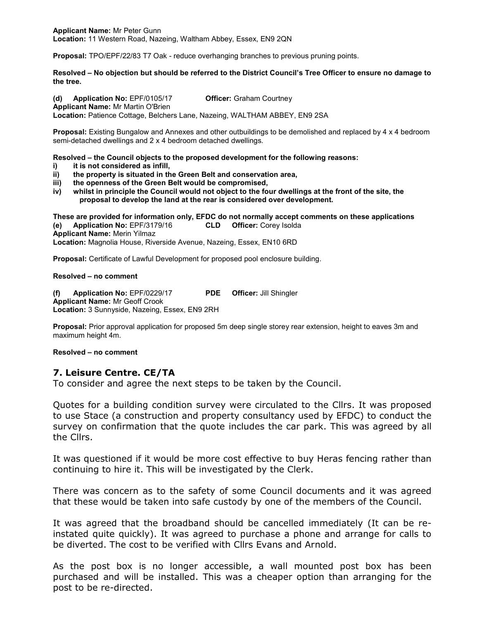**Proposal:** TPO/EPF/22/83 T7 Oak - reduce overhanging branches to previous pruning points.

**Resolved – No objection but should be referred to the District Council's Tree Officer to ensure no damage to the tree.** 

**(d) Application No:** EPF/0105/17 **Officer:** Graham Courtney **Applicant Name:** Mr Martin O'Brien **Location:** Patience Cottage, Belchers Lane, Nazeing, WALTHAM ABBEY, EN9 2SA

**Proposal:** Existing Bungalow and Annexes and other outbuildings to be demolished and replaced by 4 x 4 bedroom semi-detached dwellings and 2 x 4 bedroom detached dwellings.

**Resolved – the Council objects to the proposed development for the following reasons:** 

- **i) it is not considered as infill,**
- **ii) the property is situated in the Green Belt and conservation area,**
- **iii) the openness of the Green Belt would be compromised,**
- **iv) whilst in principle the Council would not object to the four dwellings at the front of the site, the proposal to develop the land at the rear is considered over development.**

**These are provided for information only, EFDC do not normally accept comments on these applications (e) Application No:** EPF/3179/16 **CLD Officer:** Corey Isolda **Applicant Name:** Merin Yilmaz **Location:** Magnolia House, Riverside Avenue, Nazeing, Essex, EN10 6RD

**Proposal:** Certificate of Lawful Development for proposed pool enclosure building.

**Resolved – no comment** 

**(f) Application No:** EPF/0229/17 **PDE Officer:** Jill Shingler **Applicant Name:** Mr Geoff Crook **Location:** 3 Sunnyside, Nazeing, Essex, EN9 2RH

**Proposal:** Prior approval application for proposed 5m deep single storey rear extension, height to eaves 3m and maximum height 4m.

**Resolved – no comment** 

#### **7. Leisure Centre. CE/TA**

To consider and agree the next steps to be taken by the Council.

Quotes for a building condition survey were circulated to the Cllrs. It was proposed to use Stace (a construction and property consultancy used by EFDC) to conduct the survey on confirmation that the quote includes the car park. This was agreed by all the Cllrs.

It was questioned if it would be more cost effective to buy Heras fencing rather than continuing to hire it. This will be investigated by the Clerk.

There was concern as to the safety of some Council documents and it was agreed that these would be taken into safe custody by one of the members of the Council.

It was agreed that the broadband should be cancelled immediately (It can be reinstated quite quickly). It was agreed to purchase a phone and arrange for calls to be diverted. The cost to be verified with Cllrs Evans and Arnold.

As the post box is no longer accessible, a wall mounted post box has been purchased and will be installed. This was a cheaper option than arranging for the post to be re-directed.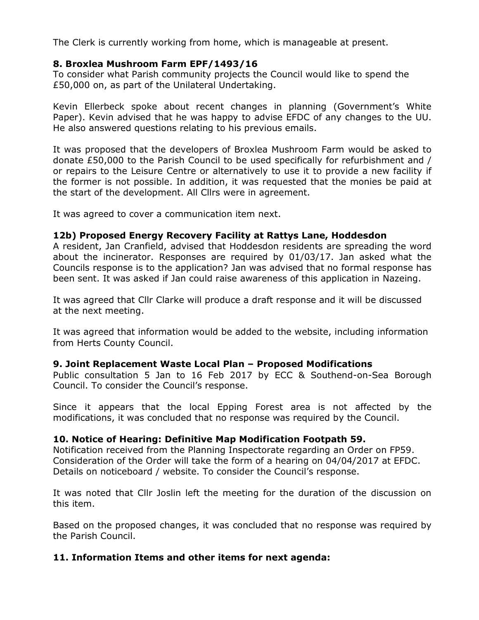The Clerk is currently working from home, which is manageable at present.

# **8. Broxlea Mushroom Farm EPF/1493/16**

To consider what Parish community projects the Council would like to spend the £50,000 on, as part of the Unilateral Undertaking.

Kevin Ellerbeck spoke about recent changes in planning (Government's White Paper). Kevin advised that he was happy to advise EFDC of any changes to the UU. He also answered questions relating to his previous emails.

It was proposed that the developers of Broxlea Mushroom Farm would be asked to donate £50,000 to the Parish Council to be used specifically for refurbishment and / or repairs to the Leisure Centre or alternatively to use it to provide a new facility if the former is not possible. In addition, it was requested that the monies be paid at the start of the development. All Cllrs were in agreement.

It was agreed to cover a communication item next.

# **12b) Proposed Energy Recovery Facility at Rattys Lane, Hoddesdon**

A resident, Jan Cranfield, advised that Hoddesdon residents are spreading the word about the incinerator. Responses are required by 01/03/17. Jan asked what the Councils response is to the application? Jan was advised that no formal response has been sent. It was asked if Jan could raise awareness of this application in Nazeing.

It was agreed that Cllr Clarke will produce a draft response and it will be discussed at the next meeting.

It was agreed that information would be added to the website, including information from Herts County Council.

#### **9. Joint Replacement Waste Local Plan – Proposed Modifications**

Public consultation 5 Jan to 16 Feb 2017 by ECC & Southend-on-Sea Borough Council. To consider the Council's response.

Since it appears that the local Epping Forest area is not affected by the modifications, it was concluded that no response was required by the Council.

# **10. Notice of Hearing: Definitive Map Modification Footpath 59.**

Notification received from the Planning Inspectorate regarding an Order on FP59. Consideration of the Order will take the form of a hearing on 04/04/2017 at EFDC. Details on noticeboard / website. To consider the Council's response.

It was noted that Cllr Joslin left the meeting for the duration of the discussion on this item.

Based on the proposed changes, it was concluded that no response was required by the Parish Council.

# **11. Information Items and other items for next agenda:**